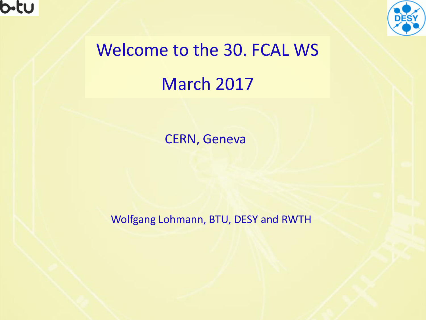



# Welcome to the 30. FCAL WS March 2017

CERN, Geneva

Wolfgang Lohmann, BTU, DESY and RWTH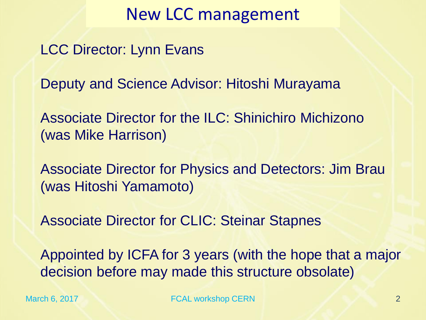#### New LCC management

LCC Director: Lynn Evans

Deputy and Science Advisor: Hitoshi Murayama

Associate Director for the ILC: Shinichiro Michizono (was Mike Harrison)

Associate Director for Physics and Detectors: Jim Brau (was Hitoshi Yamamoto)

Associate Director for CLIC: Steinar Stapnes

Appointed by ICFA for 3 years (with the hope that a major decision before may made this structure obsolate)

March 6, 2017 2 FCAL workshop CERN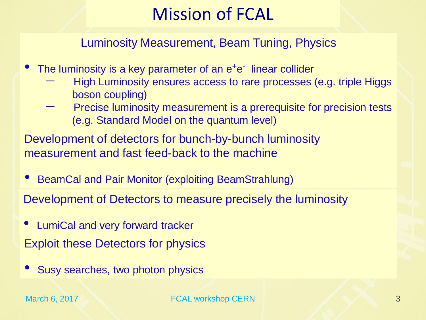# Mission of FCAL

Luminosity Measurement, Beam Tuning, Physics

- The luminosity is a key parameter of an e<sup>+</sup>e<sup>-</sup> linear collider
	- High Luminosity ensures access to rare processes (e.g. triple Higgs boson coupling)
	- Precise luminosity measurement is a prerequisite for precision tests (e.g. Standard Model on the quantum level)

Development of detectors for bunch-by-bunch luminosity measurement and fast feed-back to the machine

• BeamCal and Pair Monitor (exploiting BeamStrahlung)

Development of Detectors to measure precisely the luminosity

- Exploit these Detectors for physics • LumiCal and very forward tracker
- Susy searches, two photon physics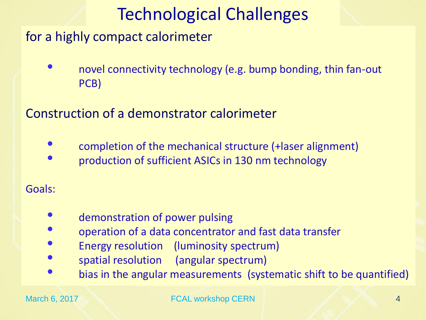# Technological Challenges

for a highly compact calorimeter

• novel connectivity technology (e.g. bump bonding, thin fan-out PCB)

Construction of a demonstrator calorimeter

- completion of the mechanical structure (+laser alignment)
- production of sufficient ASICs in 130 nm technology

Goals:

- demonstration of power pulsing
- operation of a data concentrator and fast data transfer
- Energy resolution (luminosity spectrum)
- spatial resolution (angular spectrum)
- bias in the angular measurements (systematic shift to be quantified)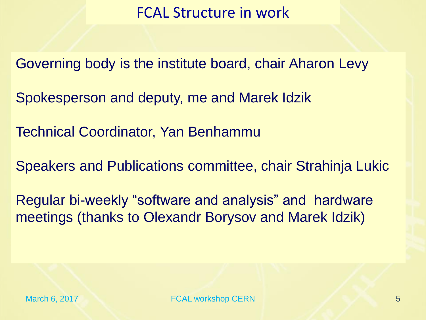#### FCAL Structure in work

Governing body is the institute board, chair Aharon Levy

Spokesperson and deputy, me and Marek Idzik

Technical Coordinator, Yan Benhammu

Speakers and Publications committee, chair Strahinja Lukic

Regular bi-weekly "software and analysis" and hardware meetings (thanks to Olexandr Borysov and Marek Idzik)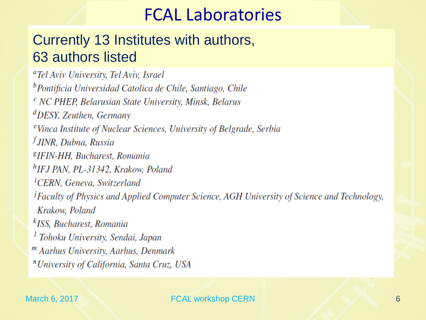### FCAL Laboratories

#### Currently 13 Institutes with authors, 63 authors listed

<sup>a</sup>Tel Aviv University, Tel Aviv, Israel <sup>b</sup>Pontificia Universidad Catolica de Chile, Santiago, Chile <sup>c</sup> NC PHEP, Belarusian State University, Minsk, Belarus  ${}^{d}$ DESY, Zeuthen, Germany <sup>e</sup> Vinca Institute of Nuclear Sciences, University of Belgrade, Serbia <sup>f</sup> JINR, Dubna, Russia <sup>8</sup>IFIN-HH, Bucharest, Romania <sup>h</sup>IFJ PAN, PL-31342, Krakow, Poland <sup>i</sup>CERN, Geneva, Switzerland <sup>j</sup>Faculty of Physics and Applied Computer Science, AGH University of Science and Technology, Krakow, Poland <sup>k</sup>ISS, Bucharest, Romania <sup>l</sup> Tohoku University, Sendai, Japan <sup>*m*</sup> Aarhus University, Aarhus, Denmark <sup>n</sup> University of California, Santa Cruz, USA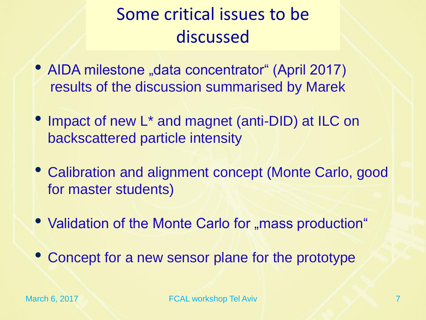# Some critical issues to be discussed

- AIDA milestone "data concentrator" (April 2017) results of the discussion summarised by Marek
- Impact of new L<sup>\*</sup> and magnet (anti-DID) at ILC on backscattered particle intensity
- Calibration and alignment concept (Monte Carlo, good for master students)
- Validation of the Monte Carlo for "mass production"
- Concept for a new sensor plane for the prototype

March 6, 2017 **FCAL workshop Tel Aviv** 7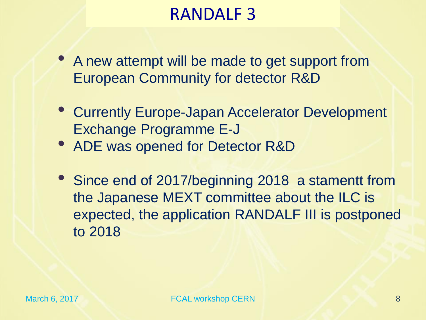## RANDALF 3

- A new attempt will be made to get support from European Community for detector R&D
- Currently Europe-Japan Accelerator Development Exchange Programme E-J
- ADE was opened for Detector R&D
- Since end of 2017/beginning 2018 a stamentt from the Japanese MEXT committee about the ILC is expected, the application RANDALF III is postponed to 2018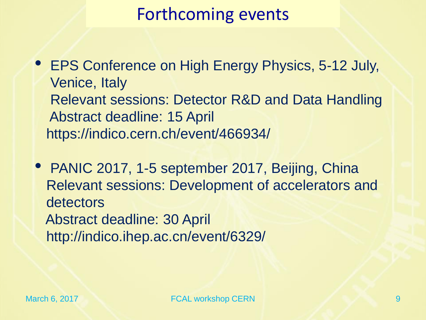## Forthcoming events

• EPS Conference on High Energy Physics, 5-12 July, Venice, Italy Relevant sessions: Detector R&D and Data Handling Abstract deadline: 15 April https://indico.cern.ch/event/466934/

• PANIC 2017, 1-5 september 2017, Beijing, China Relevant sessions: Development of accelerators and detectors Abstract deadline: 30 April http://indico.ihep.ac.cn/event/6329/